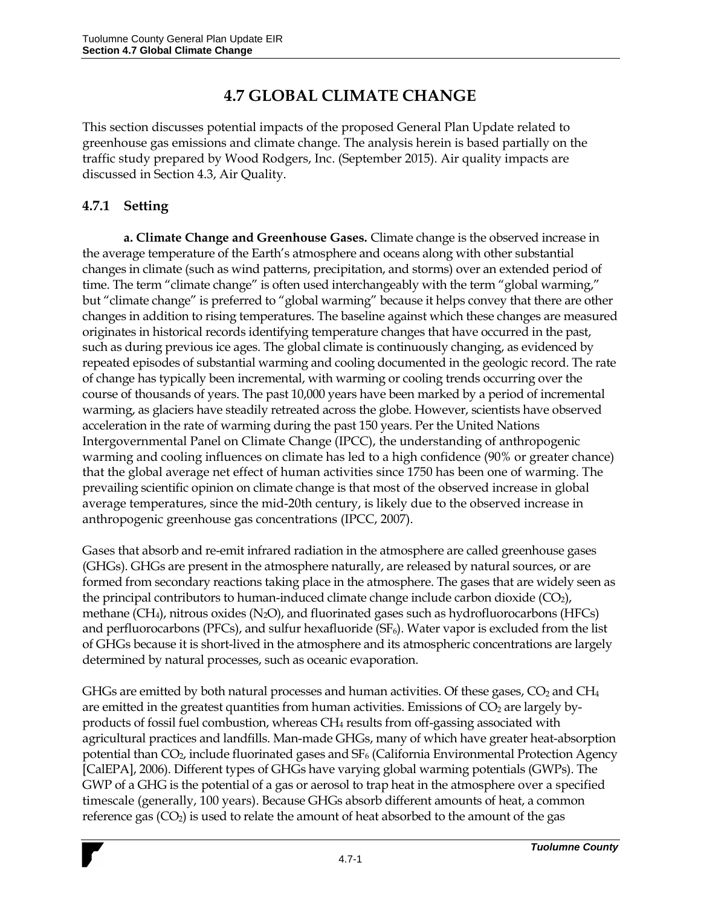# **4.7 GLOBAL CLIMATE CHANGE**

This section discusses potential impacts of the proposed General Plan Update related to greenhouse gas emissions and climate change. The analysis herein is based partially on the traffic study prepared by Wood Rodgers, Inc. (September 2015). Air quality impacts are discussed in Section 4.3, Air Quality.

### **4.7.1 Setting**

**a. Climate Change and Greenhouse Gases.** Climate change is the observed increase in the average temperature of the Earth's atmosphere and oceans along with other substantial changes in climate (such as wind patterns, precipitation, and storms) over an extended period of time. The term "climate change" is often used interchangeably with the term "global warming," but "climate change" is preferred to "global warming" because it helps convey that there are other changes in addition to rising temperatures. The baseline against which these changes are measured originates in historical records identifying temperature changes that have occurred in the past, such as during previous ice ages. The global climate is continuously changing, as evidenced by repeated episodes of substantial warming and cooling documented in the geologic record. The rate of change has typically been incremental, with warming or cooling trends occurring over the course of thousands of years. The past 10,000 years have been marked by a period of incremental warming, as glaciers have steadily retreated across the globe. However, scientists have observed acceleration in the rate of warming during the past 150 years. Per the United Nations Intergovernmental Panel on Climate Change (IPCC), the understanding of anthropogenic warming and cooling influences on climate has led to a high confidence (90% or greater chance) that the global average net effect of human activities since 1750 has been one of warming. The prevailing scientific opinion on climate change is that most of the observed increase in global average temperatures, since the mid-20th century, is likely due to the observed increase in anthropogenic greenhouse gas concentrations (IPCC, 2007).

Gases that absorb and re-emit infrared radiation in the atmosphere are called greenhouse gases (GHGs). GHGs are present in the atmosphere naturally, are released by natural sources, or are formed from secondary reactions taking place in the atmosphere. The gases that are widely seen as the principal contributors to human-induced climate change include carbon dioxide  $(CO_2)$ , methane (CH<sub>4</sub>), nitrous oxides (N<sub>2</sub>O), and fluorinated gases such as hydrofluorocarbons (HFCs) and perfluorocarbons (PFCs), and sulfur hexafluoride (SF<sub>6</sub>). Water vapor is excluded from the list of GHGs because it is short-lived in the atmosphere and its atmospheric concentrations are largely determined by natural processes, such as oceanic evaporation.

GHGs are emitted by both natural processes and human activities. Of these gases,  $CO<sub>2</sub>$  and  $CH<sub>4</sub>$ are emitted in the greatest quantities from human activities. Emissions of  $CO<sub>2</sub>$  are largely byproducts of fossil fuel combustion, whereas CH<sup>4</sup> results from off-gassing associated with agricultural practices and landfills. Man-made GHGs, many of which have greater heat-absorption potential than  $CO<sub>2</sub>$ , include fluorinated gases and  $SF<sub>6</sub>$  (California Environmental Protection Agency [CalEPA], 2006). Different types of GHGs have varying global warming potentials (GWPs). The GWP of a GHG is the potential of a gas or aerosol to trap heat in the atmosphere over a specified timescale (generally, 100 years). Because GHGs absorb different amounts of heat, a common reference gas  $(CO<sub>2</sub>)$  is used to relate the amount of heat absorbed to the amount of the gas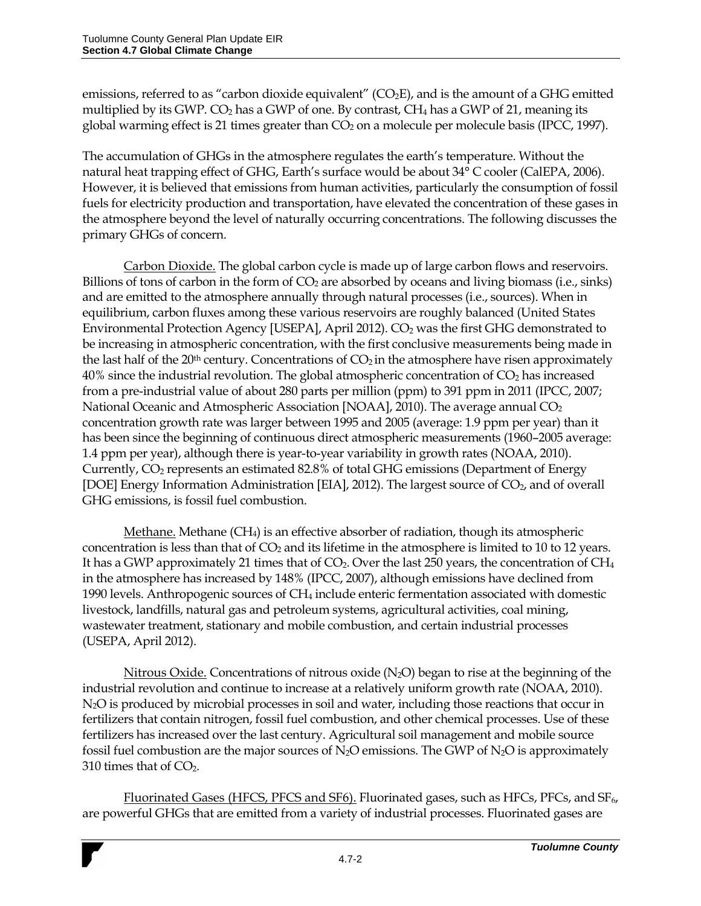emissions, referred to as "carbon dioxide equivalent" ( $CO<sub>2</sub>E$ ), and is the amount of a GHG emitted multiplied by its GWP.  $CO<sub>2</sub>$  has a GWP of one. By contrast,  $CH<sub>4</sub>$  has a GWP of 21, meaning its global warming effect is 21 times greater than  $CO<sub>2</sub>$  on a molecule per molecule basis (IPCC, 1997).

The accumulation of GHGs in the atmosphere regulates the earth's temperature. Without the natural heat trapping effect of GHG, Earth's surface would be about 34° C cooler (CalEPA, 2006). However, it is believed that emissions from human activities, particularly the consumption of fossil fuels for electricity production and transportation, have elevated the concentration of these gases in the atmosphere beyond the level of naturally occurring concentrations. The following discusses the primary GHGs of concern.

Carbon Dioxide. The global carbon cycle is made up of large carbon flows and reservoirs. Billions of tons of carbon in the form of  $CO<sub>2</sub>$  are absorbed by oceans and living biomass (i.e., sinks) and are emitted to the atmosphere annually through natural processes (i.e., sources). When in equilibrium, carbon fluxes among these various reservoirs are roughly balanced (United States Environmental Protection Agency [USEPA], April 2012).  $CO<sub>2</sub>$  was the first GHG demonstrated to be increasing in atmospheric concentration, with the first conclusive measurements being made in the last half of the  $20<sup>th</sup>$  century. Concentrations of  $CO<sub>2</sub>$  in the atmosphere have risen approximately  $40\%$  since the industrial revolution. The global atmospheric concentration of  $CO<sub>2</sub>$  has increased from a pre-industrial value of about 280 parts per million (ppm) to 391 ppm in 2011 (IPCC, 2007; National Oceanic and Atmospheric Association [NOAA], 2010). The average annual  $CO<sub>2</sub>$ concentration growth rate was larger between 1995 and 2005 (average: 1.9 ppm per year) than it has been since the beginning of continuous direct atmospheric measurements (1960–2005 average: 1.4 ppm per year), although there is year-to-year variability in growth rates (NOAA, 2010). Currently, CO<sup>2</sup> represents an estimated 82.8% of total GHG emissions (Department of Energy [DOE] Energy Information Administration [EIA], 2012). The largest source of  $CO<sub>2</sub>$ , and of overall GHG emissions, is fossil fuel combustion.

Methane. Methane (CH4) is an effective absorber of radiation, though its atmospheric concentration is less than that of  $CO<sub>2</sub>$  and its lifetime in the atmosphere is limited to 10 to 12 years. It has a GWP approximately 21 times that of  $CO<sub>2</sub>$ . Over the last 250 years, the concentration of  $CH<sub>4</sub>$ in the atmosphere has increased by 148% (IPCC, 2007), although emissions have declined from 1990 levels. Anthropogenic sources of CH<sup>4</sup> include enteric fermentation associated with domestic livestock, landfills, natural gas and petroleum systems, agricultural activities, coal mining, wastewater treatment, stationary and mobile combustion, and certain industrial processes (USEPA, April 2012).

Nitrous Oxide. Concentrations of nitrous oxide  $(N_2O)$  began to rise at the beginning of the industrial revolution and continue to increase at a relatively uniform growth rate (NOAA, 2010). N<sub>2</sub>O is produced by microbial processes in soil and water, including those reactions that occur in fertilizers that contain nitrogen, fossil fuel combustion, and other chemical processes. Use of these fertilizers has increased over the last century. Agricultural soil management and mobile source fossil fuel combustion are the major sources of  $N_2O$  emissions. The GWP of  $N_2O$  is approximately 310 times that of  $CO<sub>2</sub>$ .

Fluorinated Gases (HFCS, PFCS and SF6). Fluorinated gases, such as HFCs, PFCs, and  $SF<sub>6</sub>$ , are powerful GHGs that are emitted from a variety of industrial processes. Fluorinated gases are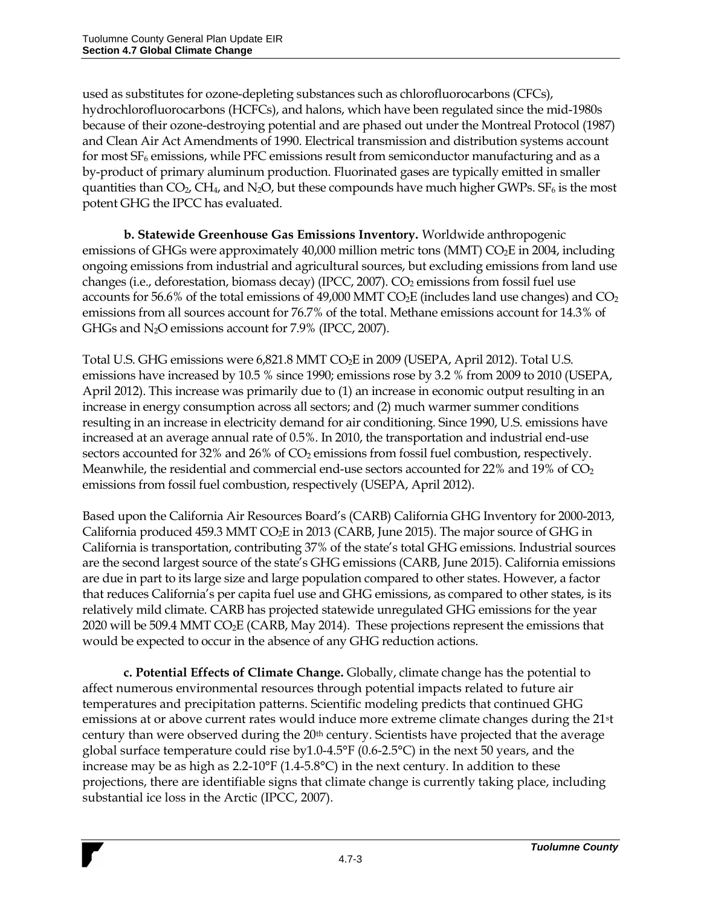used as substitutes for ozone-depleting substances such as chlorofluorocarbons (CFCs), hydrochlorofluorocarbons (HCFCs), and halons, which have been regulated since the mid-1980s because of their ozone-destroying potential and are phased out under the Montreal Protocol (1987) and Clean Air Act Amendments of 1990. Electrical transmission and distribution systems account for most  $SF_6$  emissions, while PFC emissions result from semiconductor manufacturing and as a by-product of primary aluminum production. Fluorinated gases are typically emitted in smaller quantities than  $CO_2$ ,  $CH_4$ , and N<sub>2</sub>O, but these compounds have much higher GWPs.  $SF_6$  is the most potent GHG the IPCC has evaluated.

**b. Statewide Greenhouse Gas Emissions Inventory.** Worldwide anthropogenic emissions of GHGs were approximately 40,000 million metric tons (MMT) CO<sub>2</sub>E in 2004, including ongoing emissions from industrial and agricultural sources, but excluding emissions from land use changes (i.e., deforestation, biomass decay) (IPCC, 2007).  $CO<sub>2</sub>$  emissions from fossil fuel use accounts for 56.6% of the total emissions of 49,000 MMT  $CO<sub>2</sub>E$  (includes land use changes) and  $CO<sub>2</sub>$ emissions from all sources account for 76.7% of the total. Methane emissions account for 14.3% of GHGs and  $N_2O$  emissions account for 7.9% (IPCC, 2007).

Total U.S. GHG emissions were 6,821.8 MMT CO<sub>2</sub>E in 2009 (USEPA, April 2012). Total U.S. emissions have increased by 10.5 % since 1990; emissions rose by 3.2 % from 2009 to 2010 (USEPA, April 2012). This increase was primarily due to (1) an increase in economic output resulting in an increase in energy consumption across all sectors; and (2) much warmer summer conditions resulting in an increase in electricity demand for air conditioning. Since 1990, U.S. emissions have increased at an average annual rate of 0.5%. In 2010, the transportation and industrial end-use sectors accounted for 32% and 26% of CO<sub>2</sub> emissions from fossil fuel combustion, respectively. Meanwhile, the residential and commercial end-use sectors accounted for 22% and 19% of  $CO<sub>2</sub>$ emissions from fossil fuel combustion, respectively (USEPA, April 2012).

Based upon the California Air Resources Board's (CARB) California GHG Inventory for 2000-2013, California produced 459.3 MMT CO<sub>2</sub>E in 2013 (CARB, June 2015). The major source of GHG in California is transportation, contributing 37% of the state's total GHG emissions. Industrial sources are the second largest source of the state's GHG emissions (CARB, June 2015). California emissions are due in part to its large size and large population compared to other states. However, a factor that reduces California's per capita fuel use and GHG emissions, as compared to other states, is its relatively mild climate. CARB has projected statewide unregulated GHG emissions for the year 2020 will be 509.4 MMT CO<sub>2</sub>E (CARB, May 2014). These projections represent the emissions that would be expected to occur in the absence of any GHG reduction actions.

**c. Potential Effects of Climate Change.** Globally, climate change has the potential to affect numerous environmental resources through potential impacts related to future air temperatures and precipitation patterns. Scientific modeling predicts that continued GHG emissions at or above current rates would induce more extreme climate changes during the 21st century than were observed during the 20<sup>th</sup> century. Scientists have projected that the average global surface temperature could rise by1.0-4.5°F (0.6-2.5°C) in the next 50 years, and the increase may be as high as 2.2-10°F (1.4-5.8°C) in the next century. In addition to these projections, there are identifiable signs that climate change is currently taking place, including substantial ice loss in the Arctic (IPCC, 2007).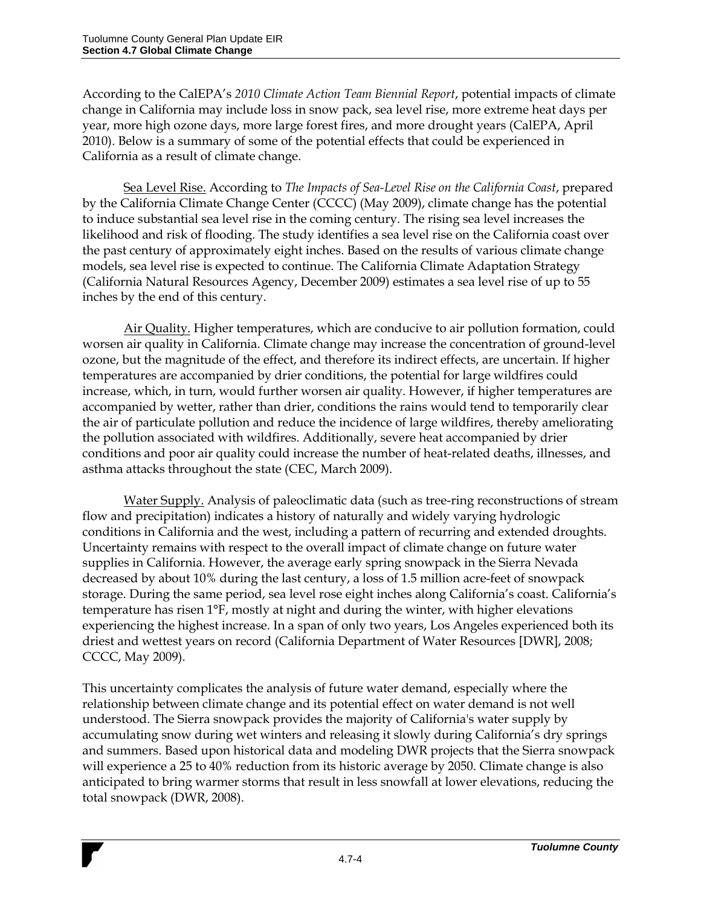According to the CalEPA's *2010 Climate Action Team Biennial Report*, potential impacts of climate change in California may include loss in snow pack, sea level rise, more extreme heat days per year, more high ozone days, more large forest fires, and more drought years (CalEPA, April 2010). Below is a summary of some of the potential effects that could be experienced in California as a result of climate change.

Sea Level Rise. According to *The Impacts of Sea-Level Rise on the California Coast*, prepared by the California Climate Change Center (CCCC) (May 2009), climate change has the potential to induce substantial sea level rise in the coming century. The rising sea level increases the likelihood and risk of flooding. The study identifies a sea level rise on the California coast over the past century of approximately eight inches. Based on the results of various climate change models, sea level rise is expected to continue. The California Climate Adaptation Strategy (California Natural Resources Agency, December 2009) estimates a sea level rise of up to 55 inches by the end of this century.

Air Quality. Higher temperatures, which are conducive to air pollution formation, could worsen air quality in California. Climate change may increase the concentration of ground-level ozone, but the magnitude of the effect, and therefore its indirect effects, are uncertain. If higher temperatures are accompanied by drier conditions, the potential for large wildfires could increase, which, in turn, would further worsen air quality. However, if higher temperatures are accompanied by wetter, rather than drier, conditions the rains would tend to temporarily clear the air of particulate pollution and reduce the incidence of large wildfires, thereby ameliorating the pollution associated with wildfires. Additionally, severe heat accompanied by drier conditions and poor air quality could increase the number of heat-related deaths, illnesses, and asthma attacks throughout the state (CEC, March 2009).

Water Supply. Analysis of paleoclimatic data (such as tree-ring reconstructions of stream flow and precipitation) indicates a history of naturally and widely varying hydrologic conditions in California and the west, including a pattern of recurring and extended droughts. Uncertainty remains with respect to the overall impact of climate change on future water supplies in California. However, the average early spring snowpack in the Sierra Nevada decreased by about 10% during the last century, a loss of 1.5 million acre-feet of snowpack storage. During the same period, sea level rose eight inches along California's coast. California's temperature has risen 1°F, mostly at night and during the winter, with higher elevations experiencing the highest increase. In a span of only two years, Los Angeles experienced both its driest and wettest years on record (California Department of Water Resources [DWR], 2008; CCCC, May 2009).

This uncertainty complicates the analysis of future water demand, especially where the relationship between climate change and its potential effect on water demand is not well understood. The Sierra snowpack provides the majority of California's water supply by accumulating snow during wet winters and releasing it slowly during California's dry springs and summers. Based upon historical data and modeling DWR projects that the Sierra snowpack will experience a 25 to 40% reduction from its historic average by 2050. Climate change is also anticipated to bring warmer storms that result in less snowfall at lower elevations, reducing the total snowpack (DWR, 2008).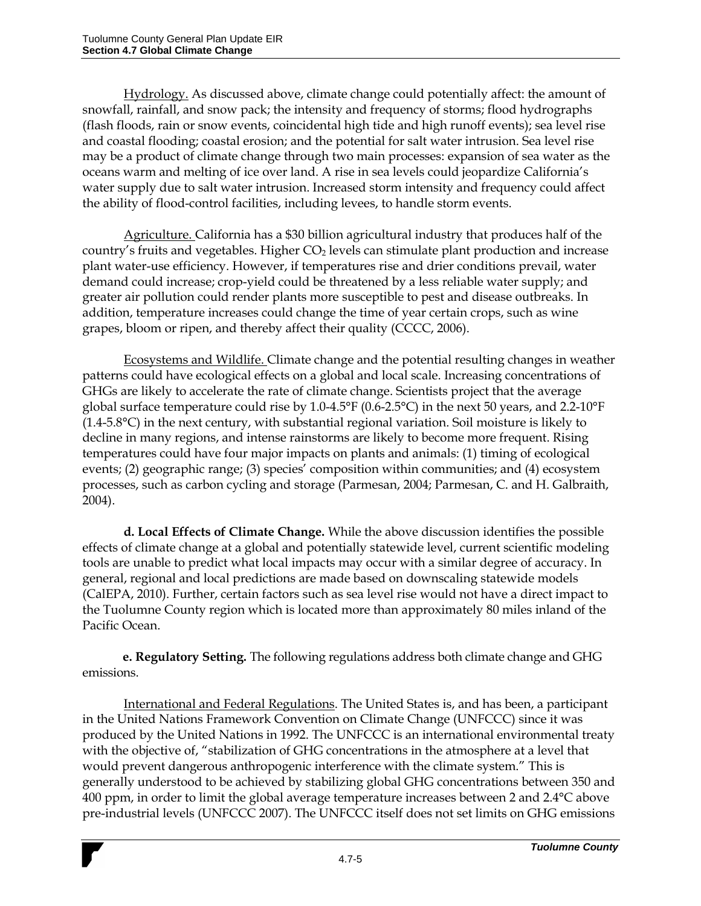Hydrology. As discussed above, climate change could potentially affect: the amount of snowfall, rainfall, and snow pack; the intensity and frequency of storms; flood hydrographs (flash floods, rain or snow events, coincidental high tide and high runoff events); sea level rise and coastal flooding; coastal erosion; and the potential for salt water intrusion. Sea level rise may be a product of climate change through two main processes: expansion of sea water as the oceans warm and melting of ice over land. A rise in sea levels could jeopardize California's water supply due to salt water intrusion. Increased storm intensity and frequency could affect the ability of flood-control facilities, including levees, to handle storm events.

Agriculture. California has a \$30 billion agricultural industry that produces half of the country's fruits and vegetables. Higher  $CO<sub>2</sub>$  levels can stimulate plant production and increase plant water-use efficiency. However, if temperatures rise and drier conditions prevail, water demand could increase; crop-yield could be threatened by a less reliable water supply; and greater air pollution could render plants more susceptible to pest and disease outbreaks. In addition, temperature increases could change the time of year certain crops, such as wine grapes, bloom or ripen, and thereby affect their quality (CCCC, 2006).

Ecosystems and Wildlife. Climate change and the potential resulting changes in weather patterns could have ecological effects on a global and local scale. Increasing concentrations of GHGs are likely to accelerate the rate of climate change. Scientists project that the average global surface temperature could rise by 1.0-4.5°F (0.6-2.5°C) in the next 50 years, and 2.2-10°F (1.4-5.8°C) in the next century, with substantial regional variation. Soil moisture is likely to decline in many regions, and intense rainstorms are likely to become more frequent. Rising temperatures could have four major impacts on plants and animals: (1) timing of ecological events; (2) geographic range; (3) species' composition within communities; and (4) ecosystem processes, such as carbon cycling and storage (Parmesan, 2004; Parmesan, C. and H. Galbraith, 2004).

**d. Local Effects of Climate Change.** While the above discussion identifies the possible effects of climate change at a global and potentially statewide level, current scientific modeling tools are unable to predict what local impacts may occur with a similar degree of accuracy. In general, regional and local predictions are made based on downscaling statewide models (CalEPA, 2010). Further, certain factors such as sea level rise would not have a direct impact to the Tuolumne County region which is located more than approximately 80 miles inland of the Pacific Ocean.

**e. Regulatory Setting.** The following regulations address both climate change and GHG emissions.

International and Federal Regulations. The United States is, and has been, a participant in the United Nations Framework Convention on Climate Change (UNFCCC) since it was produced by the United Nations in 1992. The UNFCCC is an international environmental treaty with the objective of, "stabilization of GHG concentrations in the atmosphere at a level that would prevent dangerous anthropogenic interference with the climate system." This is generally understood to be achieved by stabilizing global GHG concentrations between 350 and 400 ppm, in order to limit the global average temperature increases between 2 and 2.4°C above pre-industrial levels (UNFCCC 2007). The UNFCCC itself does not set limits on GHG emissions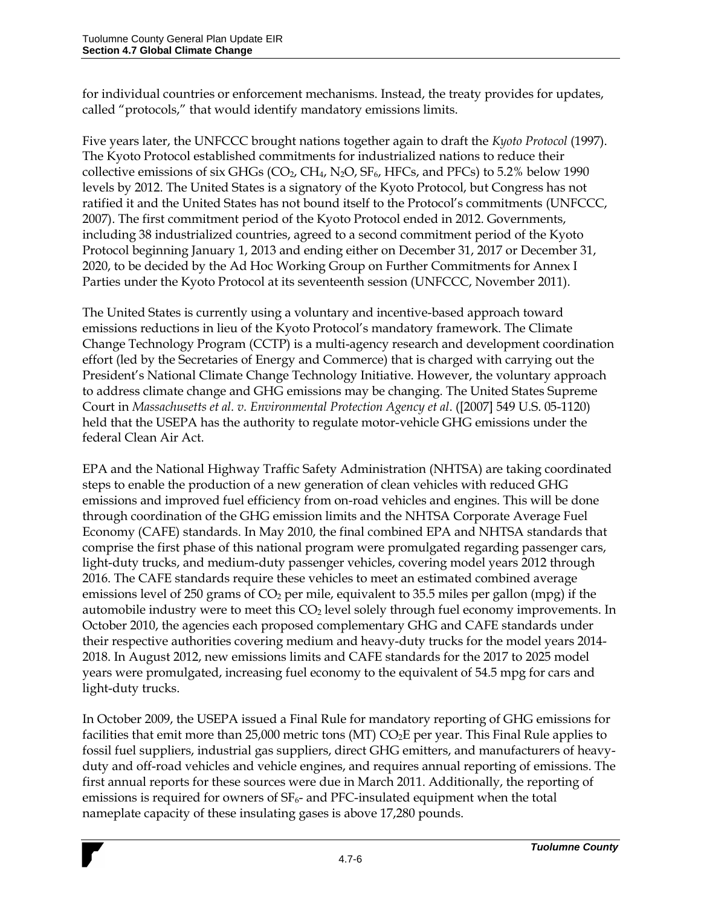for individual countries or enforcement mechanisms. Instead, the treaty provides for updates, called "protocols," that would identify mandatory emissions limits.

Five years later, the UNFCCC brought nations together again to draft the *Kyoto Protocol* (1997). The Kyoto Protocol established commitments for industrialized nations to reduce their collective emissions of six GHGs ( $CO<sub>2</sub>$ ,  $CH<sub>4</sub>$ , N<sub>2</sub>O, SF<sub>6</sub>, HFCs, and PFCs) to 5.2% below 1990 levels by 2012. The United States is a signatory of the Kyoto Protocol, but Congress has not ratified it and the United States has not bound itself to the Protocol's commitments (UNFCCC, 2007). The first commitment period of the Kyoto Protocol ended in 2012. Governments, including 38 industrialized countries, agreed to a second commitment period of the Kyoto Protocol beginning January 1, 2013 and ending either on December 31, 2017 or December 31, 2020, to be decided by the Ad Hoc Working Group on Further Commitments for Annex I Parties under the Kyoto Protocol at its seventeenth session (UNFCCC, November 2011).

The United States is currently using a voluntary and incentive-based approach toward emissions reductions in lieu of the Kyoto Protocol's mandatory framework. The Climate Change Technology Program (CCTP) is a multi-agency research and development coordination effort (led by the Secretaries of Energy and Commerce) that is charged with carrying out the President's National Climate Change Technology Initiative. However, the voluntary approach to address climate change and GHG emissions may be changing. The United States Supreme Court in *Massachusetts et al. v. Environmental Protection Agency et al*. ([2007] 549 U.S. 05-1120) held that the USEPA has the authority to regulate motor-vehicle GHG emissions under the federal Clean Air Act.

EPA and the National Highway Traffic Safety Administration (NHTSA) are taking coordinated steps to enable the production of a new generation of clean vehicles with reduced GHG emissions and improved fuel efficiency from on-road vehicles and engines. This will be done through coordination of the GHG emission limits and the NHTSA Corporate Average Fuel Economy (CAFE) standards. In May 2010, the final combined EPA and NHTSA standards that comprise the first phase of this national program were promulgated regarding passenger cars, light-duty trucks, and medium-duty passenger vehicles, covering model years 2012 through 2016. The CAFE standards require these vehicles to meet an estimated combined average emissions level of 250 grams of  $CO<sub>2</sub>$  per mile, equivalent to 35.5 miles per gallon (mpg) if the automobile industry were to meet this CO<sub>2</sub> level solely through fuel economy improvements. In October 2010, the agencies each proposed complementary GHG and CAFE standards under their respective authorities covering medium and heavy-duty trucks for the model years 2014- 2018. In August 2012, new emissions limits and CAFE standards for the 2017 to 2025 model years were promulgated, increasing fuel economy to the equivalent of 54.5 mpg for cars and light-duty trucks.

In October 2009, the USEPA issued a Final Rule for mandatory reporting of GHG emissions for facilities that emit more than 25,000 metric tons (MT)  $CO<sub>2</sub>E$  per year. This Final Rule applies to fossil fuel suppliers, industrial gas suppliers, direct GHG emitters, and manufacturers of heavyduty and off-road vehicles and vehicle engines, and requires annual reporting of emissions. The first annual reports for these sources were due in March 2011. Additionally, the reporting of emissions is required for owners of  $SF<sub>6</sub>$ - and PFC-insulated equipment when the total nameplate capacity of these insulating gases is above 17,280 pounds.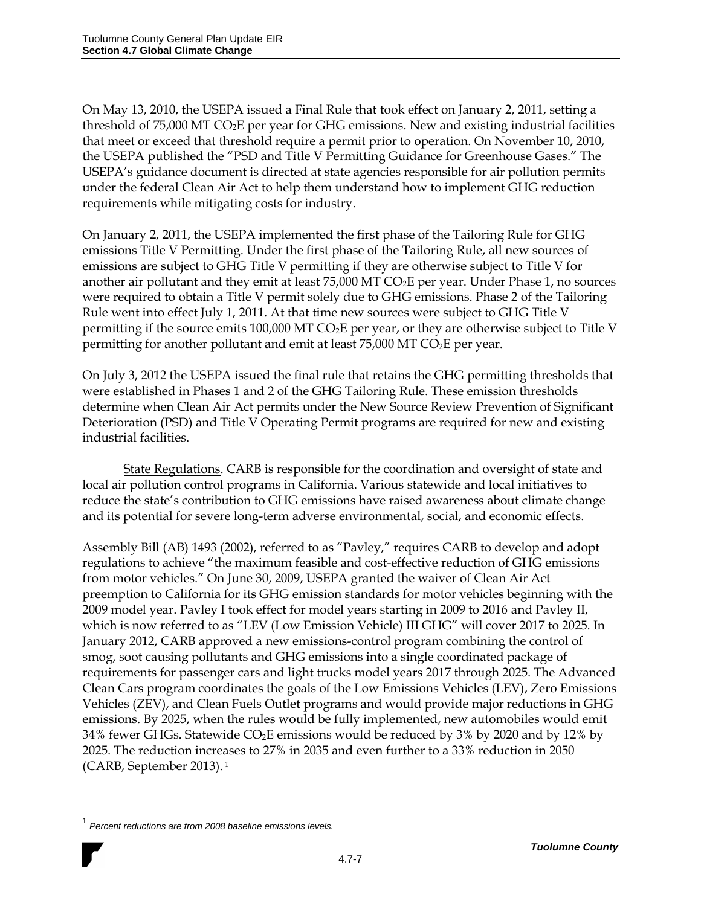On May 13, 2010, the USEPA issued a Final Rule that took effect on January 2, 2011, setting a threshold of 75,000 MT CO<sub>2</sub>E per year for GHG emissions. New and existing industrial facilities that meet or exceed that threshold require a permit prior to operation. On November 10, 2010, the USEPA published the "PSD and Title V Permitting Guidance for Greenhouse Gases." The USEPA's guidance document is directed at state agencies responsible for air pollution permits under the federal Clean Air Act to help them understand how to implement GHG reduction requirements while mitigating costs for industry.

On January 2, 2011, the USEPA implemented the first phase of the Tailoring Rule for GHG emissions Title V Permitting. Under the first phase of the Tailoring Rule, all new sources of emissions are subject to GHG Title V permitting if they are otherwise subject to Title V for another air pollutant and they emit at least 75,000 MT CO2E per year. Under Phase 1, no sources were required to obtain a Title V permit solely due to GHG emissions. Phase 2 of the Tailoring Rule went into effect July 1, 2011. At that time new sources were subject to GHG Title V permitting if the source emits 100,000 MT  $CO<sub>2</sub>E$  per year, or they are otherwise subject to Title V permitting for another pollutant and emit at least  $75,000$  MT CO<sub>2</sub>E per year.

On July 3, 2012 the USEPA issued the final rule that retains the GHG permitting thresholds that were established in Phases 1 and 2 of the GHG Tailoring Rule. These emission thresholds determine when Clean Air Act permits under the New Source Review Prevention of Significant Deterioration (PSD) and Title V Operating Permit programs are required for new and existing industrial facilities.

State Regulations. CARB is responsible for the coordination and oversight of state and local air pollution control programs in California. Various statewide and local initiatives to reduce the state's contribution to GHG emissions have raised awareness about climate change and its potential for severe long-term adverse environmental, social, and economic effects.

Assembly Bill (AB) 1493 (2002), referred to as "Pavley," requires CARB to develop and adopt regulations to achieve "the maximum feasible and cost-effective reduction of GHG emissions from motor vehicles." On June 30, 2009, USEPA granted the waiver of Clean Air Act preemption to California for its GHG emission standards for motor vehicles beginning with the 2009 model year. Pavley I took effect for model years starting in 2009 to 2016 and Pavley II, which is now referred to as "LEV (Low Emission Vehicle) III GHG" will cover 2017 to 2025. In January 2012, CARB approved a new emissions-control program combining the control of smog, soot causing pollutants and GHG emissions into a single coordinated package of requirements for passenger cars and light trucks model years 2017 through 2025. The Advanced Clean Cars program coordinates the goals of the Low Emissions Vehicles (LEV), Zero Emissions Vehicles (ZEV), and Clean Fuels Outlet programs and would provide major reductions in GHG emissions. By 2025, when the rules would be fully implemented, new automobiles would emit 34% fewer GHGs. Statewide  $CO<sub>2</sub>E$  emissions would be reduced by 3% by 2020 and by 12% by 2025. The reduction increases to 27% in 2035 and even further to a 33% reduction in 2050 (CARB, September 2013). <sup>1</sup>

 $\overline{a}$ 

<sup>1</sup> *Percent reductions are from 2008 baseline emissions levels.*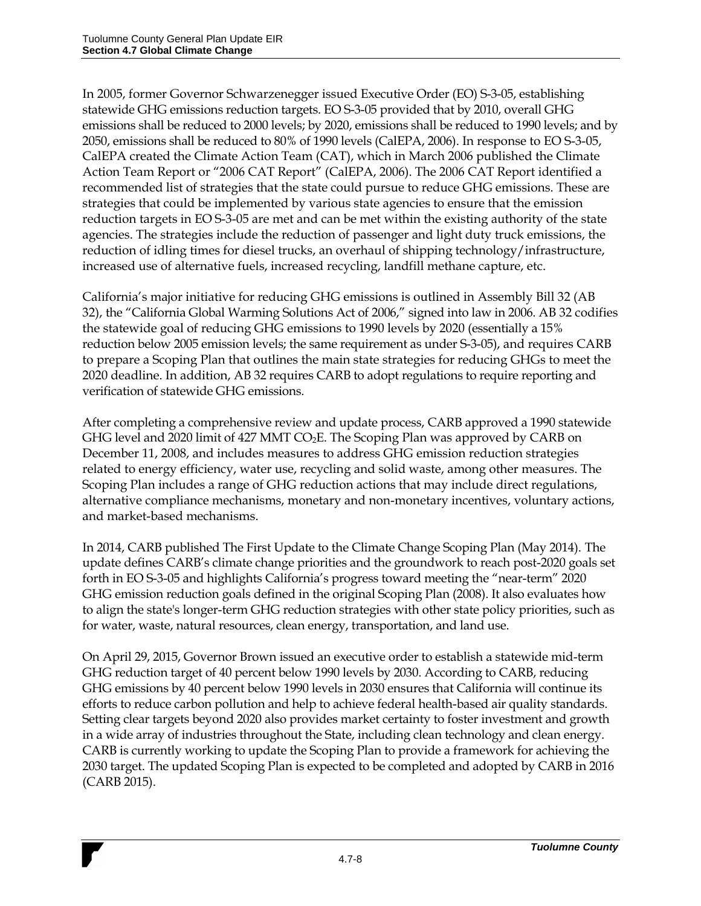In 2005, former Governor Schwarzenegger issued Executive Order (EO) S-3-05, establishing statewide GHG emissions reduction targets. EO S-3-05 provided that by 2010, overall GHG emissions shall be reduced to 2000 levels; by 2020, emissions shall be reduced to 1990 levels; and by 2050, emissions shall be reduced to 80% of 1990 levels (CalEPA, 2006). In response to EO S-3-05, CalEPA created the Climate Action Team (CAT), which in March 2006 published the Climate Action Team Report or "2006 CAT Report" (CalEPA, 2006). The 2006 CAT Report identified a recommended list of strategies that the state could pursue to reduce GHG emissions. These are strategies that could be implemented by various state agencies to ensure that the emission reduction targets in EO S-3-05 are met and can be met within the existing authority of the state agencies. The strategies include the reduction of passenger and light duty truck emissions, the reduction of idling times for diesel trucks, an overhaul of shipping technology/infrastructure, increased use of alternative fuels, increased recycling, landfill methane capture, etc.

California's major initiative for reducing GHG emissions is outlined in Assembly Bill 32 (AB 32), the "California Global Warming Solutions Act of 2006," signed into law in 2006. AB 32 codifies the statewide goal of reducing GHG emissions to 1990 levels by 2020 (essentially a 15% reduction below 2005 emission levels; the same requirement as under S-3-05), and requires CARB to prepare a Scoping Plan that outlines the main state strategies for reducing GHGs to meet the 2020 deadline. In addition, AB 32 requires CARB to adopt regulations to require reporting and verification of statewide GHG emissions.

After completing a comprehensive review and update process, CARB approved a 1990 statewide GHG level and 2020 limit of 427 MMT CO<sub>2</sub>E. The Scoping Plan was approved by CARB on December 11, 2008, and includes measures to address GHG emission reduction strategies related to energy efficiency, water use, recycling and solid waste, among other measures. The Scoping Plan includes a range of GHG reduction actions that may include direct regulations, alternative compliance mechanisms, monetary and non-monetary incentives, voluntary actions, and market-based mechanisms.

In 2014, CARB published The First Update to the Climate Change Scoping Plan (May 2014). The update defines CARB's climate change priorities and the groundwork to reach post-2020 goals set forth in EO S-3-05 and highlights California's progress toward meeting the "near-term" 2020 GHG emission reduction goals defined in the original Scoping Plan (2008). It also evaluates how to align the state's longer-term GHG reduction strategies with other state policy priorities, such as for water, waste, natural resources, clean energy, transportation, and land use.

On April 29, 2015, Governor Brown issued an executive order to establish a statewide mid-term GHG reduction target of 40 percent below 1990 levels by 2030. According to CARB, reducing GHG emissions by 40 percent below 1990 levels in 2030 ensures that California will continue its efforts to reduce carbon pollution and help to achieve federal health-based air quality standards. Setting clear targets beyond 2020 also provides market certainty to foster investment and growth in a wide array of industries throughout the State, including clean technology and clean energy. CARB is currently working to update the Scoping Plan to provide a framework for achieving the 2030 target. The updated Scoping Plan is expected to be completed and adopted by CARB in 2016 (CARB 2015).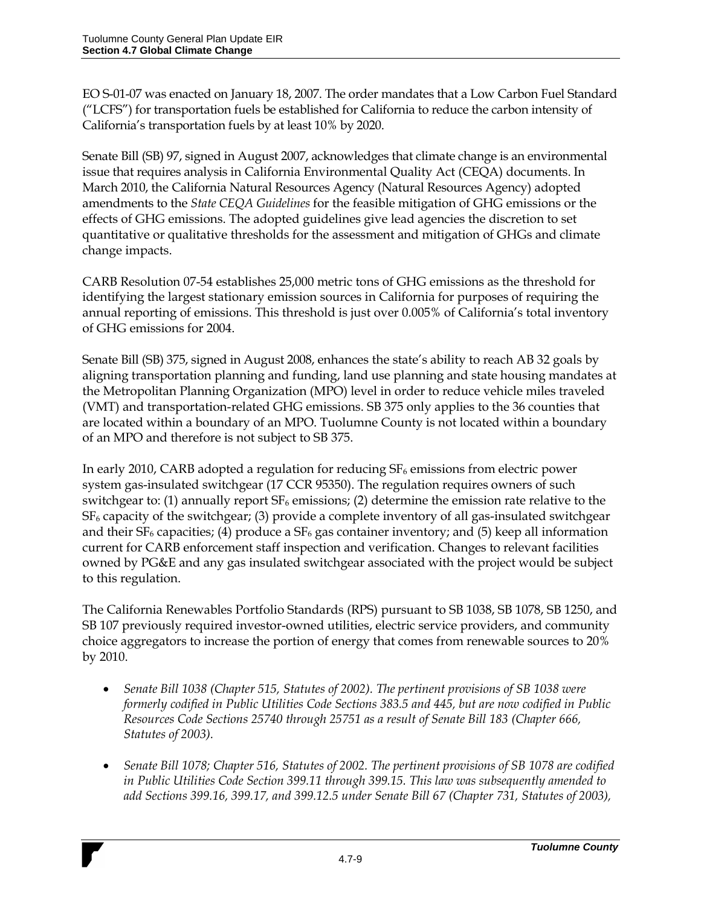EO S-01-07 was enacted on January 18, 2007. The order mandates that a Low Carbon Fuel Standard ("LCFS") for transportation fuels be established for California to reduce the carbon intensity of California's transportation fuels by at least 10% by 2020.

Senate Bill (SB) 97, signed in August 2007, acknowledges that climate change is an environmental issue that requires analysis in California Environmental Quality Act (CEQA) documents. In March 2010, the California Natural Resources Agency (Natural Resources Agency) adopted amendments to the *State CEQA Guidelines* for the feasible mitigation of GHG emissions or the effects of GHG emissions. The adopted guidelines give lead agencies the discretion to set quantitative or qualitative thresholds for the assessment and mitigation of GHGs and climate change impacts.

CARB Resolution 07-54 establishes 25,000 metric tons of GHG emissions as the threshold for identifying the largest stationary emission sources in California for purposes of requiring the annual reporting of emissions. This threshold is just over 0.005% of California's total inventory of GHG emissions for 2004.

Senate Bill (SB) 375, signed in August 2008, enhances the state's ability to reach AB 32 goals by aligning transportation planning and funding, land use planning and state housing mandates at the Metropolitan Planning Organization (MPO) level in order to reduce vehicle miles traveled (VMT) and transportation-related GHG emissions. SB 375 only applies to the 36 counties that are located within a boundary of an MPO. Tuolumne County is not located within a boundary of an MPO and therefore is not subject to SB 375.

In early 2010, CARB adopted a regulation for reducing  $SF_6$  emissions from electric power system gas-insulated switchgear (17 CCR 95350). The regulation requires owners of such switchgear to: (1) annually report  $SF_6$  emissions; (2) determine the emission rate relative to the  $SF<sub>6</sub>$  capacity of the switchgear; (3) provide a complete inventory of all gas-insulated switchgear and their  $SF_6$  capacities; (4) produce a  $SF_6$  gas container inventory; and (5) keep all information current for CARB enforcement staff inspection and verification. Changes to relevant facilities owned by PG&E and any gas insulated switchgear associated with the project would be subject to this regulation.

The California Renewables Portfolio Standards (RPS) pursuant to SB 1038, SB 1078, SB 1250, and SB 107 previously required investor-owned utilities, electric service providers, and community choice aggregators to increase the portion of energy that comes from renewable sources to 20% by 2010.

- *Senate Bill 1038 (Chapter 515, Statutes of 2002). The pertinent provisions of SB 1038 were formerly codified in Public Utilities Code Sections 383.5 and 445, but are now codified in Public Resources Code Sections 25740 through 25751 as a result of Senate Bill 183 (Chapter 666, Statutes of 2003).*
- *Senate Bill 1078; Chapter 516, Statutes of 2002. The pertinent provisions of SB 1078 are codified in Public Utilities Code Section 399.11 through 399.15. This law was subsequently amended to add Sections 399.16, 399.17, and 399.12.5 under Senate Bill 67 (Chapter 731, Statutes of 2003),*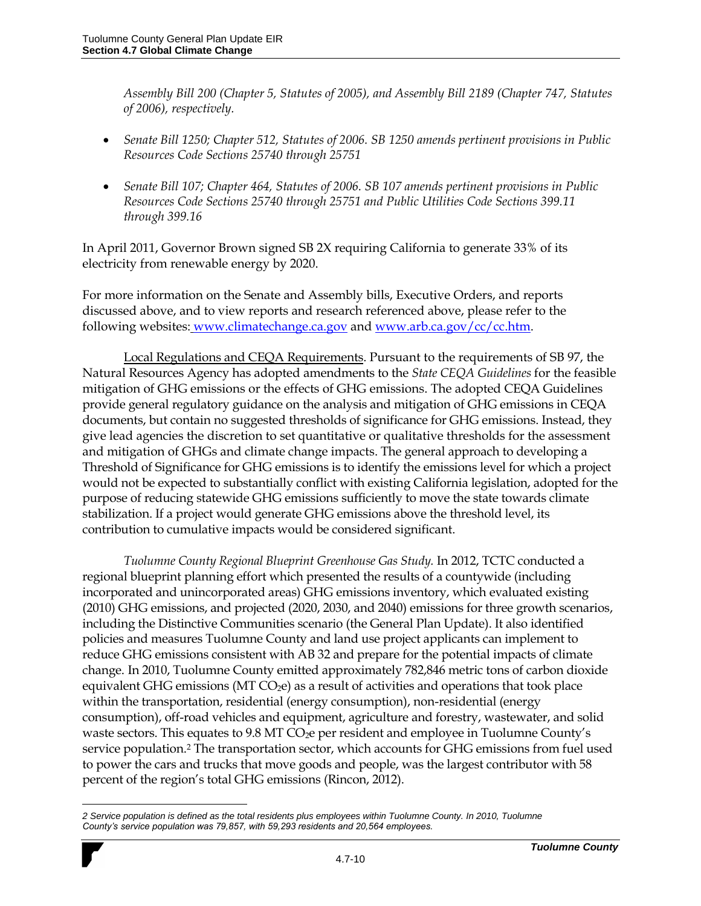*Assembly Bill 200 (Chapter 5, Statutes of 2005), and Assembly Bill 2189 (Chapter 747, Statutes of 2006), respectively.*

- *Senate Bill 1250; Chapter 512, Statutes of 2006. SB 1250 amends pertinent provisions in Public Resources Code Sections 25740 through 25751*
- *Senate Bill 107; Chapter 464, Statutes of 2006. SB 107 amends pertinent provisions in Public Resources Code Sections 25740 through 25751 and Public Utilities Code Sections 399.11 through 399.16*

In April 2011, Governor Brown signed SB 2X requiring California to generate 33% of its electricity from renewable energy by 2020.

For more information on the Senate and Assembly bills, Executive Orders, and reports discussed above, and to view reports and research referenced above, please refer to the following websites: [www.climatechange.ca.gov](http://www.climatechange.ca.gov/) an[d www.arb.ca.gov/cc/cc.htm.](http://www.arb.ca.gov/cc/cc.htm)

Local Regulations and CEQA Requirements. Pursuant to the requirements of SB 97, the Natural Resources Agency has adopted amendments to the *State CEQA Guidelines* for the feasible mitigation of GHG emissions or the effects of GHG emissions. The adopted CEQA Guidelines provide general regulatory guidance on the analysis and mitigation of GHG emissions in CEQA documents, but contain no suggested thresholds of significance for GHG emissions. Instead, they give lead agencies the discretion to set quantitative or qualitative thresholds for the assessment and mitigation of GHGs and climate change impacts. The general approach to developing a Threshold of Significance for GHG emissions is to identify the emissions level for which a project would not be expected to substantially conflict with existing California legislation, adopted for the purpose of reducing statewide GHG emissions sufficiently to move the state towards climate stabilization. If a project would generate GHG emissions above the threshold level, its contribution to cumulative impacts would be considered significant.

*Tuolumne County Regional Blueprint Greenhouse Gas Study.* In 2012, TCTC conducted a regional blueprint planning effort which presented the results of a countywide (including incorporated and unincorporated areas) GHG emissions inventory, which evaluated existing (2010) GHG emissions, and projected (2020, 2030, and 2040) emissions for three growth scenarios, including the Distinctive Communities scenario (the General Plan Update). It also identified policies and measures Tuolumne County and land use project applicants can implement to reduce GHG emissions consistent with AB 32 and prepare for the potential impacts of climate change. In 2010, Tuolumne County emitted approximately 782,846 metric tons of carbon dioxide equivalent GHG emissions ( $MT CO<sub>2</sub>e$ ) as a result of activities and operations that took place within the transportation, residential (energy consumption), non-residential (energy consumption), off-road vehicles and equipment, agriculture and forestry, wastewater, and solid waste sectors. This equates to 9.8 MT CO<sub>2</sub>e per resident and employee in Tuolumne County's service population.<sup>2</sup> The transportation sector, which accounts for GHG emissions from fuel used to power the cars and trucks that move goods and people, was the largest contributor with 58 percent of the region's total GHG emissions (Rincon, 2012).

 $\overline{a}$ 

*<sup>2</sup> Service population is defined as the total residents plus employees within Tuolumne County. In 2010, Tuolumne County's service population was 79,857, with 59,293 residents and 20,564 employees.*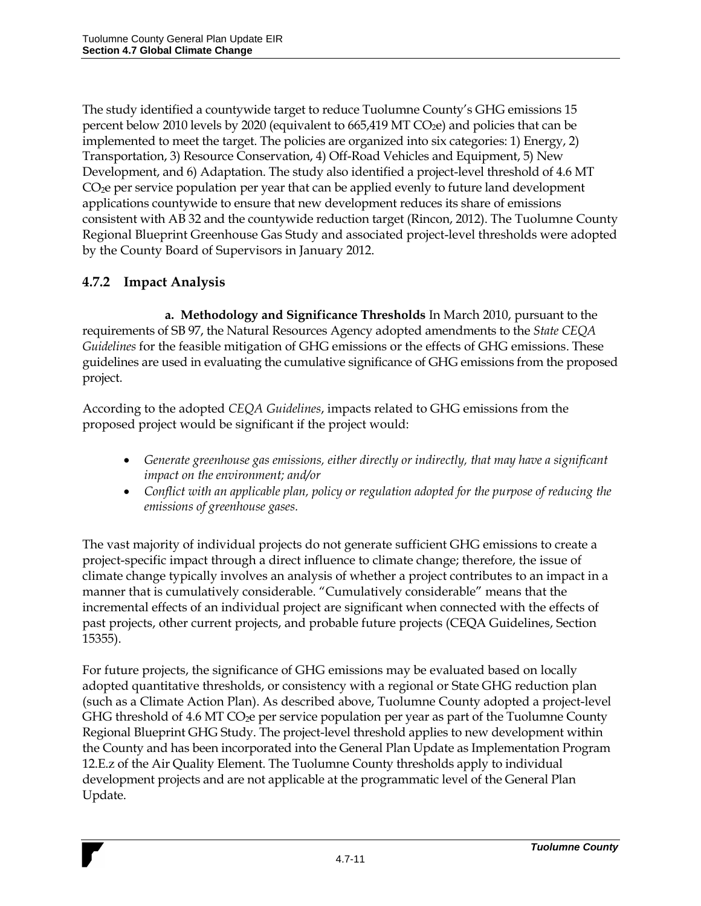The study identified a countywide target to reduce Tuolumne County's GHG emissions 15 percent below 2010 levels by 2020 (equivalent to  $665,419$  MT CO<sub>2</sub>e) and policies that can be implemented to meet the target. The policies are organized into six categories: 1) Energy, 2) Transportation, 3) Resource Conservation, 4) Off-Road Vehicles and Equipment, 5) New Development, and 6) Adaptation. The study also identified a project-level threshold of 4.6 MT CO<sub>2</sub>e per service population per year that can be applied evenly to future land development applications countywide to ensure that new development reduces its share of emissions consistent with AB 32 and the countywide reduction target (Rincon, 2012). The Tuolumne County Regional Blueprint Greenhouse Gas Study and associated project-level thresholds were adopted by the County Board of Supervisors in January 2012.

## **4.7.2 Impact Analysis**

**a. Methodology and Significance Thresholds** In March 2010, pursuant to the requirements of SB 97, the Natural Resources Agency adopted amendments to the *State CEQA Guidelines* for the feasible mitigation of GHG emissions or the effects of GHG emissions. These guidelines are used in evaluating the cumulative significance of GHG emissions from the proposed project.

According to the adopted *CEQA Guidelines*, impacts related to GHG emissions from the proposed project would be significant if the project would:

- *Generate greenhouse gas emissions, either directly or indirectly, that may have a significant impact on the environment; and/or*
- Conflict with an applicable plan, policy or regulation adopted for the purpose of reducing the *emissions of greenhouse gases.*

The vast majority of individual projects do not generate sufficient GHG emissions to create a project-specific impact through a direct influence to climate change; therefore, the issue of climate change typically involves an analysis of whether a project contributes to an impact in a manner that is cumulatively considerable. "Cumulatively considerable" means that the incremental effects of an individual project are significant when connected with the effects of past projects, other current projects, and probable future projects (CEQA Guidelines, Section 15355).

For future projects, the significance of GHG emissions may be evaluated based on locally adopted quantitative thresholds, or consistency with a regional or State GHG reduction plan (such as a Climate Action Plan). As described above, Tuolumne County adopted a project-level GHG threshold of 4.6 MT  $CO<sub>2</sub>e$  per service population per year as part of the Tuolumne County Regional Blueprint GHG Study. The project-level threshold applies to new development within the County and has been incorporated into the General Plan Update as Implementation Program 12.E.z of the Air Quality Element. The Tuolumne County thresholds apply to individual development projects and are not applicable at the programmatic level of the General Plan Update.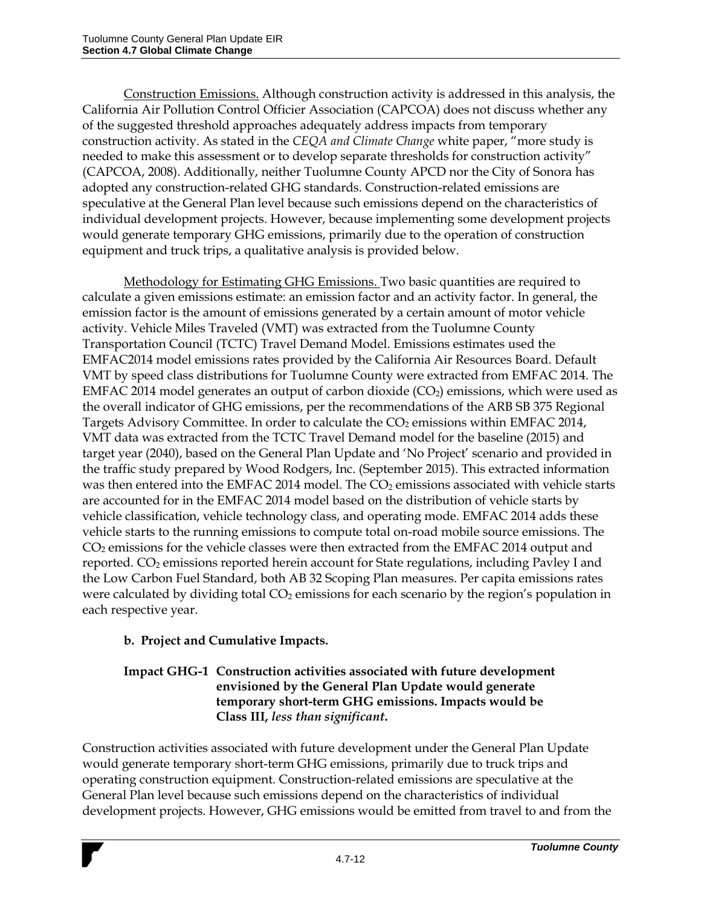Construction Emissions. Although construction activity is addressed in this analysis, the California Air Pollution Control Officier Association (CAPCOA) does not discuss whether any of the suggested threshold approaches adequately address impacts from temporary construction activity. As stated in the *CEQA and Climate Change* white paper, "more study is needed to make this assessment or to develop separate thresholds for construction activity" (CAPCOA, 2008). Additionally, neither Tuolumne County APCD nor the City of Sonora has adopted any construction-related GHG standards. Construction-related emissions are speculative at the General Plan level because such emissions depend on the characteristics of individual development projects. However, because implementing some development projects would generate temporary GHG emissions, primarily due to the operation of construction equipment and truck trips, a qualitative analysis is provided below.

Methodology for Estimating GHG Emissions. Two basic quantities are required to calculate a given emissions estimate: an emission factor and an activity factor. In general, the emission factor is the amount of emissions generated by a certain amount of motor vehicle activity. Vehicle Miles Traveled (VMT) was extracted from the Tuolumne County Transportation Council (TCTC) Travel Demand Model. Emissions estimates used the EMFAC2014 model emissions rates provided by the California Air Resources Board. Default VMT by speed class distributions for Tuolumne County were extracted from EMFAC 2014. The EMFAC 2014 model generates an output of carbon dioxide (CO<sub>2</sub>) emissions, which were used as the overall indicator of GHG emissions, per the recommendations of the ARB SB 375 Regional Targets Advisory Committee. In order to calculate the CO<sub>2</sub> emissions within EMFAC 2014, VMT data was extracted from the TCTC Travel Demand model for the baseline (2015) and target year (2040), based on the General Plan Update and 'No Project' scenario and provided in the traffic study prepared by Wood Rodgers, Inc. (September 2015). This extracted information was then entered into the EMFAC 2014 model. The CO<sub>2</sub> emissions associated with vehicle starts are accounted for in the EMFAC 2014 model based on the distribution of vehicle starts by vehicle classification, vehicle technology class, and operating mode. EMFAC 2014 adds these vehicle starts to the running emissions to compute total on-road mobile source emissions. The CO<sup>2</sup> emissions for the vehicle classes were then extracted from the EMFAC 2014 output and reported. CO<sub>2</sub> emissions reported herein account for State regulations, including Pavley I and the Low Carbon Fuel Standard, both AB 32 Scoping Plan measures. Per capita emissions rates were calculated by dividing total  $CO<sub>2</sub>$  emissions for each scenario by the region's population in each respective year.

### **b. Project and Cumulative Impacts.**

#### **Impact GHG-1 Construction activities associated with future development envisioned by the General Plan Update would generate temporary short-term GHG emissions. Impacts would be Class III,** *less than significant***.**

Construction activities associated with future development under the General Plan Update would generate temporary short-term GHG emissions, primarily due to truck trips and operating construction equipment. Construction-related emissions are speculative at the General Plan level because such emissions depend on the characteristics of individual development projects. However, GHG emissions would be emitted from travel to and from the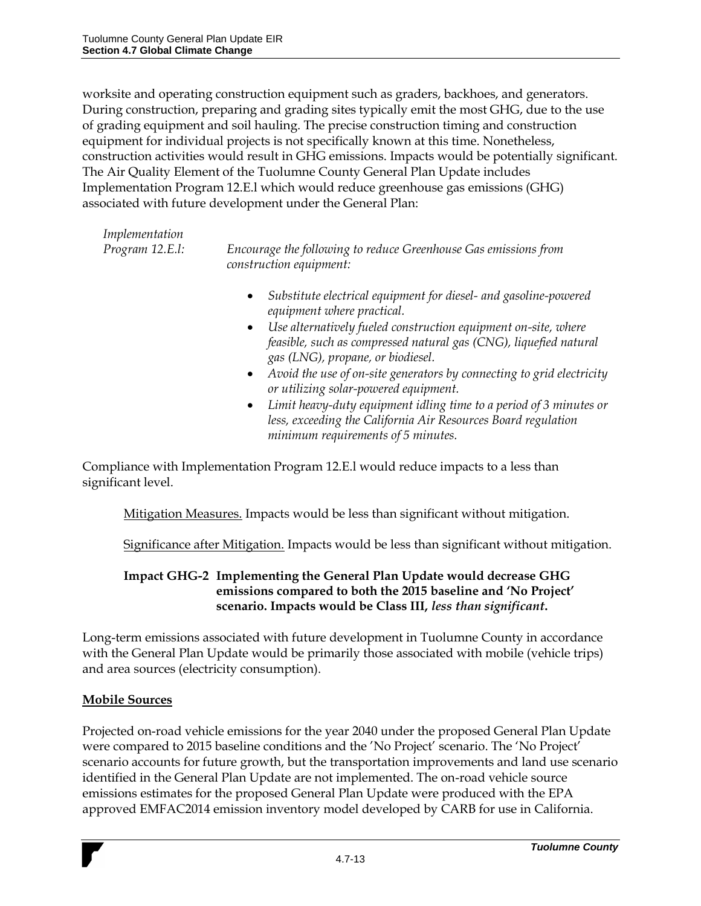worksite and operating construction equipment such as graders, backhoes, and generators. During construction, preparing and grading sites typically emit the most GHG, due to the use of grading equipment and soil hauling. The precise construction timing and construction equipment for individual projects is not specifically known at this time. Nonetheless, construction activities would result in GHG emissions. Impacts would be potentially significant. The Air Quality Element of the Tuolumne County General Plan Update includes Implementation Program 12.E.l which would reduce greenhouse gas emissions (GHG) associated with future development under the General Plan:

| Implementation |
|----------------|
| $10H$ $1$      |

*Program 12.E.l: Encourage the following to reduce Greenhouse Gas emissions from construction equipment:* 

- *Substitute electrical equipment for diesel- and gasoline-powered equipment where practical.*
- *Use alternatively fueled construction equipment on-site, where feasible, such as compressed natural gas (CNG), liquefied natural gas (LNG), propane, or biodiesel.*
- *Avoid the use of on-site generators by connecting to grid electricity or utilizing solar-powered equipment.*
- *Limit heavy-duty equipment idling time to a period of 3 minutes or less, exceeding the California Air Resources Board regulation minimum requirements of 5 minutes.*

Compliance with Implementation Program 12.E.l would reduce impacts to a less than significant level.

Mitigation Measures. Impacts would be less than significant without mitigation.

Significance after Mitigation. Impacts would be less than significant without mitigation.

### **Impact GHG-2 Implementing the General Plan Update would decrease GHG emissions compared to both the 2015 baseline and 'No Project' scenario. Impacts would be Class III,** *less than significant***.**

Long-term emissions associated with future development in Tuolumne County in accordance with the General Plan Update would be primarily those associated with mobile (vehicle trips) and area sources (electricity consumption).

### **Mobile Sources**

Projected on-road vehicle emissions for the year 2040 under the proposed General Plan Update were compared to 2015 baseline conditions and the 'No Project' scenario. The 'No Project' scenario accounts for future growth, but the transportation improvements and land use scenario identified in the General Plan Update are not implemented. The on-road vehicle source emissions estimates for the proposed General Plan Update were produced with the EPA approved EMFAC2014 emission inventory model developed by CARB for use in California.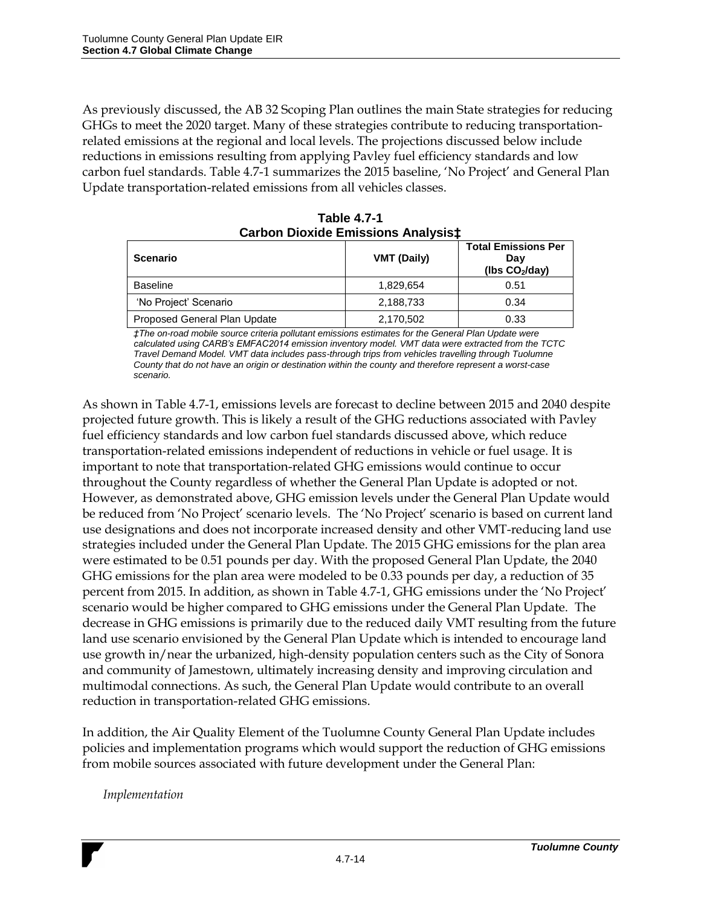As previously discussed, the AB 32 Scoping Plan outlines the main State strategies for reducing GHGs to meet the 2020 target. Many of these strategies contribute to reducing transportationrelated emissions at the regional and local levels. The projections discussed below include reductions in emissions resulting from applying Pavley fuel efficiency standards and low carbon fuel standards. Table 4.7-1 summarizes the 2015 baseline, 'No Project' and General Plan Update transportation-related emissions from all vehicles classes.

| <u>UULUUL DIUAIUU LIIIIJJIUIIJ AIIUIVJIJ+</u> |                    |                                                         |  |
|-----------------------------------------------|--------------------|---------------------------------------------------------|--|
| <b>Scenario</b>                               | <b>VMT (Daily)</b> | <b>Total Emissions Per</b><br>Dav<br>( $\log CO2/day$ ) |  |
| <b>Baseline</b>                               | 1,829,654          | 0.51                                                    |  |
| 'No Project' Scenario                         | 2,188,733          | 0.34                                                    |  |
| Proposed General Plan Update                  | 2,170,502          | 0.33                                                    |  |

**Table 4.7-1 Carbon Dioxide Emissions Analysis‡**

*‡The on-road mobile source criteria pollutant emissions estimates for the General Plan Update were calculated using CARB's EMFAC2014 emission inventory model. VMT data were extracted from the TCTC Travel Demand Model. VMT data includes pass-through trips from vehicles travelling through Tuolumne County that do not have an origin or destination within the county and therefore represent a worst-case scenario.*

As shown in Table 4.7-1, emissions levels are forecast to decline between 2015 and 2040 despite projected future growth. This is likely a result of the GHG reductions associated with Pavley fuel efficiency standards and low carbon fuel standards discussed above, which reduce transportation-related emissions independent of reductions in vehicle or fuel usage. It is important to note that transportation-related GHG emissions would continue to occur throughout the County regardless of whether the General Plan Update is adopted or not. However, as demonstrated above, GHG emission levels under the General Plan Update would be reduced from 'No Project' scenario levels. The 'No Project' scenario is based on current land use designations and does not incorporate increased density and other VMT-reducing land use strategies included under the General Plan Update. The 2015 GHG emissions for the plan area were estimated to be 0.51 pounds per day. With the proposed General Plan Update, the 2040 GHG emissions for the plan area were modeled to be 0.33 pounds per day, a reduction of 35 percent from 2015. In addition, as shown in Table 4.7-1, GHG emissions under the 'No Project' scenario would be higher compared to GHG emissions under the General Plan Update. The decrease in GHG emissions is primarily due to the reduced daily VMT resulting from the future land use scenario envisioned by the General Plan Update which is intended to encourage land use growth in/near the urbanized, high-density population centers such as the City of Sonora and community of Jamestown, ultimately increasing density and improving circulation and multimodal connections. As such, the General Plan Update would contribute to an overall reduction in transportation-related GHG emissions.

In addition, the Air Quality Element of the Tuolumne County General Plan Update includes policies and implementation programs which would support the reduction of GHG emissions from mobile sources associated with future development under the General Plan:

*Implementation*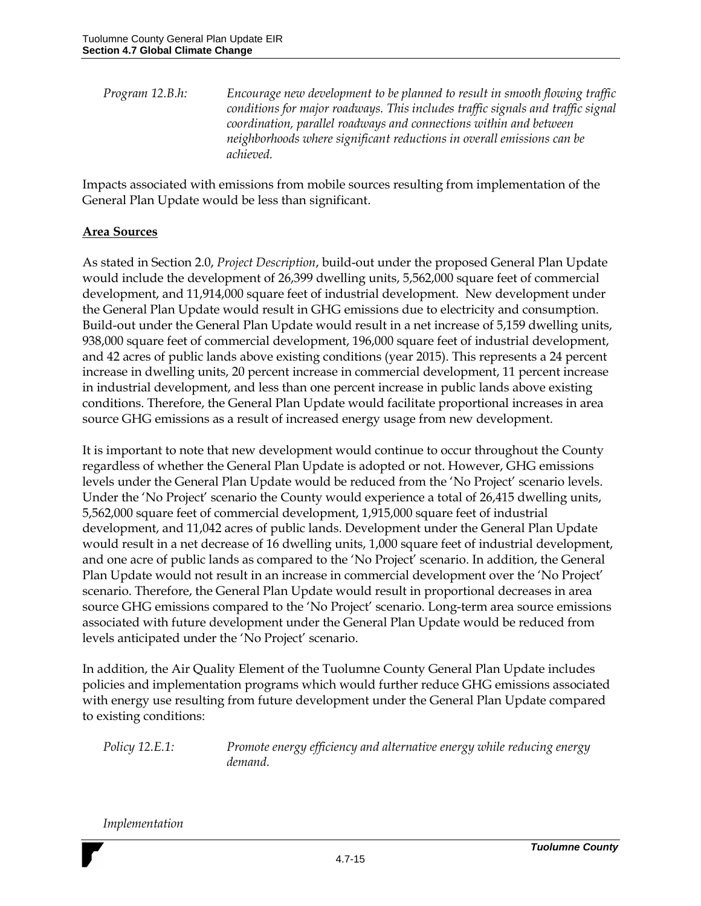*Program 12.B.h: Encourage new development to be planned to result in smooth flowing traffic conditions for major roadways. This includes traffic signals and traffic signal coordination, parallel roadways and connections within and between neighborhoods where significant reductions in overall emissions can be achieved.*

Impacts associated with emissions from mobile sources resulting from implementation of the General Plan Update would be less than significant.

#### **Area Sources**

As stated in Section 2.0, *Project Description*, build-out under the proposed General Plan Update would include the development of 26,399 dwelling units, 5,562,000 square feet of commercial development, and 11,914,000 square feet of industrial development. New development under the General Plan Update would result in GHG emissions due to electricity and consumption. Build-out under the General Plan Update would result in a net increase of 5,159 dwelling units, 938,000 square feet of commercial development, 196,000 square feet of industrial development, and 42 acres of public lands above existing conditions (year 2015). This represents a 24 percent increase in dwelling units, 20 percent increase in commercial development, 11 percent increase in industrial development, and less than one percent increase in public lands above existing conditions. Therefore, the General Plan Update would facilitate proportional increases in area source GHG emissions as a result of increased energy usage from new development.

It is important to note that new development would continue to occur throughout the County regardless of whether the General Plan Update is adopted or not. However, GHG emissions levels under the General Plan Update would be reduced from the 'No Project' scenario levels. Under the 'No Project' scenario the County would experience a total of 26,415 dwelling units, 5,562,000 square feet of commercial development, 1,915,000 square feet of industrial development, and 11,042 acres of public lands. Development under the General Plan Update would result in a net decrease of 16 dwelling units, 1,000 square feet of industrial development, and one acre of public lands as compared to the 'No Project' scenario. In addition, the General Plan Update would not result in an increase in commercial development over the 'No Project' scenario. Therefore, the General Plan Update would result in proportional decreases in area source GHG emissions compared to the 'No Project' scenario. Long-term area source emissions associated with future development under the General Plan Update would be reduced from levels anticipated under the 'No Project' scenario.

In addition, the Air Quality Element of the Tuolumne County General Plan Update includes policies and implementation programs which would further reduce GHG emissions associated with energy use resulting from future development under the General Plan Update compared to existing conditions:

*Policy 12.E.1: Promote energy efficiency and alternative energy while reducing energy demand.*

*Implementation*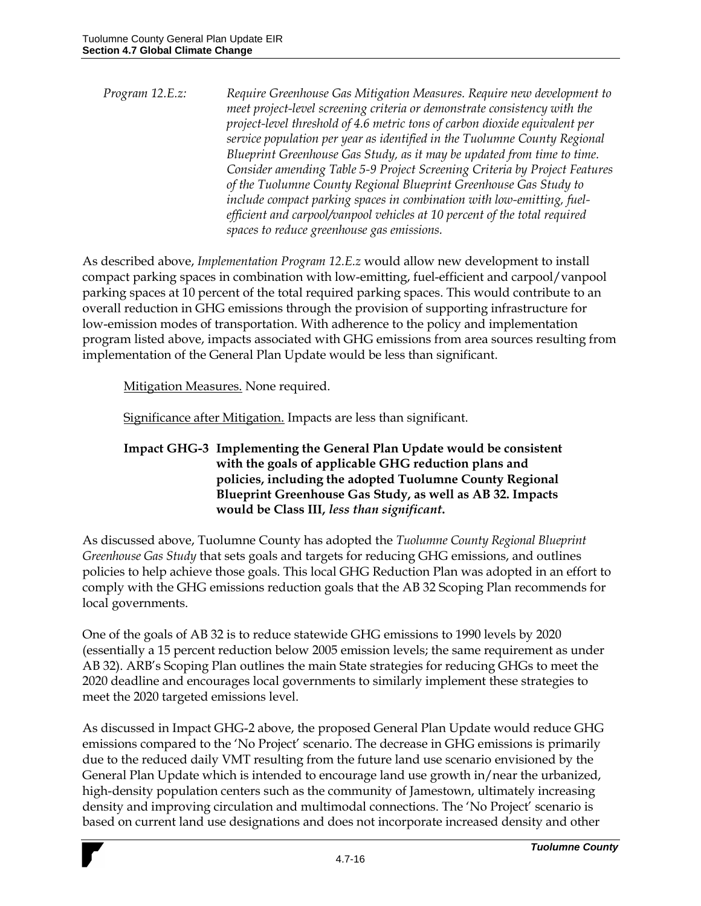*Program 12.E.z: Require Greenhouse Gas Mitigation Measures. Require new development to meet project-level screening criteria or demonstrate consistency with the project-level threshold of 4.6 metric tons of carbon dioxide equivalent per service population per year as identified in the Tuolumne County Regional Blueprint Greenhouse Gas Study, as it may be updated from time to time. Consider amending Table 5-9 Project Screening Criteria by Project Features of the Tuolumne County Regional Blueprint Greenhouse Gas Study to include compact parking spaces in combination with low-emitting, fuelefficient and carpool/vanpool vehicles at 10 percent of the total required spaces to reduce greenhouse gas emissions.*

As described above, *Implementation Program 12.E.z* would allow new development to install compact parking spaces in combination with low-emitting, fuel-efficient and carpool/vanpool parking spaces at 10 percent of the total required parking spaces. This would contribute to an overall reduction in GHG emissions through the provision of supporting infrastructure for low-emission modes of transportation. With adherence to the policy and implementation program listed above, impacts associated with GHG emissions from area sources resulting from implementation of the General Plan Update would be less than significant.

Mitigation Measures. None required.

Significance after Mitigation. Impacts are less than significant.

**Impact GHG-3 Implementing the General Plan Update would be consistent with the goals of applicable GHG reduction plans and policies, including the adopted Tuolumne County Regional Blueprint Greenhouse Gas Study, as well as AB 32. Impacts would be Class III,** *less than significant***.** 

As discussed above, Tuolumne County has adopted the *Tuolumne County Regional Blueprint Greenhouse Gas Study* that sets goals and targets for reducing GHG emissions, and outlines policies to help achieve those goals. This local GHG Reduction Plan was adopted in an effort to comply with the GHG emissions reduction goals that the AB 32 Scoping Plan recommends for local governments.

One of the goals of AB 32 is to reduce statewide GHG emissions to 1990 levels by 2020 (essentially a 15 percent reduction below 2005 emission levels; the same requirement as under AB 32). ARB's Scoping Plan outlines the main State strategies for reducing GHGs to meet the 2020 deadline and encourages local governments to similarly implement these strategies to meet the 2020 targeted emissions level.

As discussed in Impact GHG-2 above, the proposed General Plan Update would reduce GHG emissions compared to the 'No Project' scenario. The decrease in GHG emissions is primarily due to the reduced daily VMT resulting from the future land use scenario envisioned by the General Plan Update which is intended to encourage land use growth in/near the urbanized, high-density population centers such as the community of Jamestown, ultimately increasing density and improving circulation and multimodal connections. The 'No Project' scenario is based on current land use designations and does not incorporate increased density and other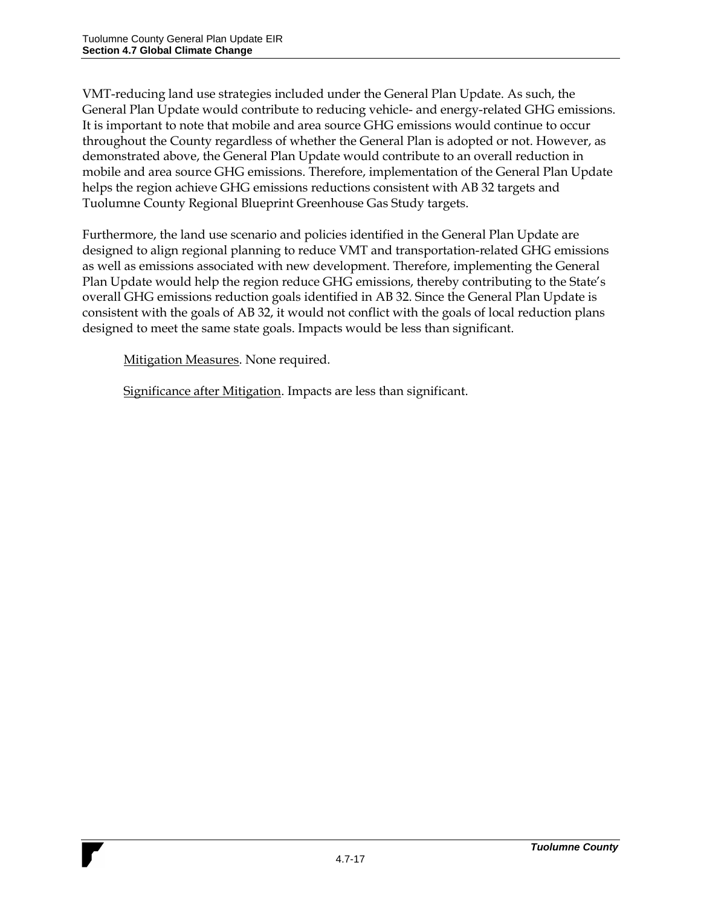VMT-reducing land use strategies included under the General Plan Update. As such, the General Plan Update would contribute to reducing vehicle- and energy-related GHG emissions. It is important to note that mobile and area source GHG emissions would continue to occur throughout the County regardless of whether the General Plan is adopted or not. However, as demonstrated above, the General Plan Update would contribute to an overall reduction in mobile and area source GHG emissions. Therefore, implementation of the General Plan Update helps the region achieve GHG emissions reductions consistent with AB 32 targets and Tuolumne County Regional Blueprint Greenhouse Gas Study targets.

Furthermore, the land use scenario and policies identified in the General Plan Update are designed to align regional planning to reduce VMT and transportation-related GHG emissions as well as emissions associated with new development. Therefore, implementing the General Plan Update would help the region reduce GHG emissions, thereby contributing to the State's overall GHG emissions reduction goals identified in AB 32. Since the General Plan Update is consistent with the goals of AB 32, it would not conflict with the goals of local reduction plans designed to meet the same state goals. Impacts would be less than significant.

Mitigation Measures. None required.

Significance after Mitigation. Impacts are less than significant.